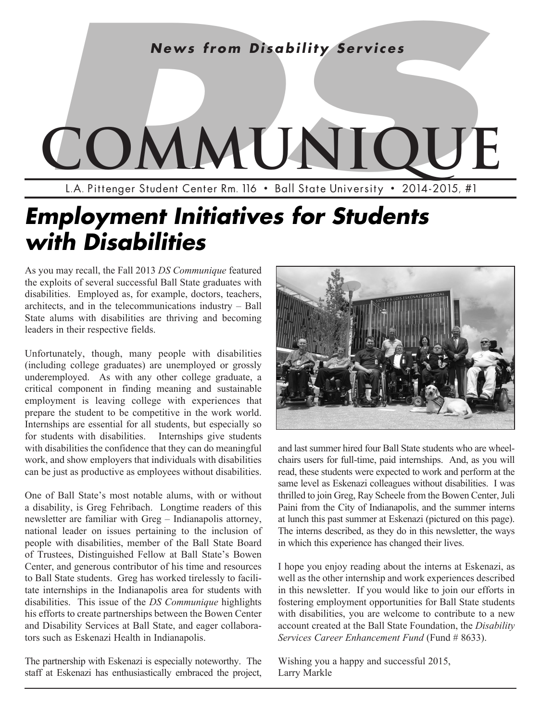

### *Employment Initiatives for Students with Disabilities*

As you may recall, the Fall 2013 *DS Communique* featured the exploits of several successful Ball State graduates with disabilities. Employed as, for example, doctors, teachers, architects, and in the telecommunications industry – Ball State alums with disabilities are thriving and becoming leaders in their respective fields.

Unfortunately, though, many people with disabilities (including college graduates) are unemployed or grossly underemployed. As with any other college graduate, a critical component in finding meaning and sustainable employment is leaving college with experiences that prepare the student to be competitive in the work world. Internships are essential for all students, but especially so for students with disabilities. Internships give students with disabilities the confidence that they can do meaningful work, and show employers that individuals with disabilities can be just as productive as employees without disabilities.

One of Ball State's most notable alums, with or without a disability, is Greg Fehribach. Longtime readers of this newsletter are familiar with Greg – Indianapolis attorney, national leader on issues pertaining to the inclusion of people with disabilities, member of the Ball State Board of Trustees, Distinguished Fellow at Ball State's Bowen Center, and generous contributor of his time and resources to Ball State students. Greg has worked tirelessly to facilitate internships in the Indianapolis area for students with disabilities. This issue of the *DS Communique* highlights his efforts to create partnerships between the Bowen Center and Disability Services at Ball State, and eager collaborators such as Eskenazi Health in Indianapolis.

The partnership with Eskenazi is especially noteworthy. The staff at Eskenazi has enthusiastically embraced the project,



and last summer hired four Ball State students who are wheelchairs users for full-time, paid internships. And, as you will read, these students were expected to work and perform at the same level as Eskenazi colleagues without disabilities. I was thrilled to join Greg, Ray Scheele from the Bowen Center, Juli Paini from the City of Indianapolis, and the summer interns at lunch this past summer at Eskenazi (pictured on this page). The interns described, as they do in this newsletter, the ways in which this experience has changed their lives.

I hope you enjoy reading about the interns at Eskenazi, as well as the other internship and work experiences described in this newsletter. If you would like to join our efforts in fostering employment opportunities for Ball State students with disabilities, you are welcome to contribute to a new account created at the Ball State Foundation, the *Disability Services Career Enhancement Fund* (Fund # 8633).

Wishing you a happy and successful 2015, Larry Markle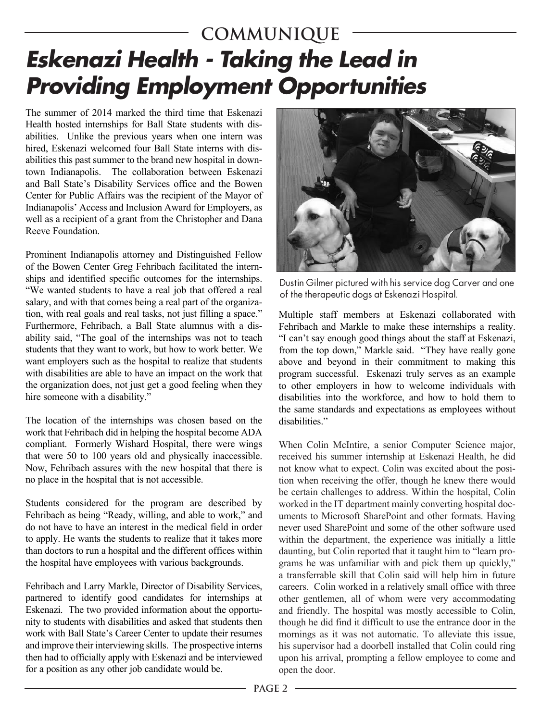### **COMMUNIQUE** *Eskenazi Health - Taking the Lead in Providing Employment Opportunities*

The summer of 2014 marked the third time that Eskenazi Health hosted internships for Ball State students with disabilities. Unlike the previous years when one intern was hired, Eskenazi welcomed four Ball State interns with disabilities this past summer to the brand new hospital in downtown Indianapolis. The collaboration between Eskenazi and Ball State's Disability Services office and the Bowen Center for Public Affairs was the recipient of the Mayor of Indianapolis' Access and Inclusion Award for Employers, as well as a recipient of a grant from the Christopher and Dana Reeve Foundation.

Prominent Indianapolis attorney and Distinguished Fellow of the Bowen Center Greg Fehribach facilitated the internships and identified specific outcomes for the internships. "We wanted students to have a real job that offered a real salary, and with that comes being a real part of the organization, with real goals and real tasks, not just filling a space." Furthermore, Fehribach, a Ball State alumnus with a disability said, "The goal of the internships was not to teach students that they want to work, but how to work better. We want employers such as the hospital to realize that students with disabilities are able to have an impact on the work that the organization does, not just get a good feeling when they hire someone with a disability."

The location of the internships was chosen based on the work that Fehribach did in helping the hospital become ADA compliant. Formerly Wishard Hospital, there were wings that were 50 to 100 years old and physically inaccessible. Now, Fehribach assures with the new hospital that there is no place in the hospital that is not accessible.

Students considered for the program are described by Fehribach as being "Ready, willing, and able to work," and do not have to have an interest in the medical field in order to apply. He wants the students to realize that it takes more than doctors to run a hospital and the different offices within the hospital have employees with various backgrounds.

Fehribach and Larry Markle, Director of Disability Services, partnered to identify good candidates for internships at Eskenazi. The two provided information about the opportunity to students with disabilities and asked that students then work with Ball State's Career Center to update their resumes and improve their interviewing skills. The prospective interns then had to officially apply with Eskenazi and be interviewed for a position as any other job candidate would be.



Dustin Gilmer pictured with his service dog Carver and one of the therapeutic dogs at Eskenazi Hospital.

Multiple staff members at Eskenazi collaborated with Fehribach and Markle to make these internships a reality. "I can't say enough good things about the staff at Eskenazi, from the top down," Markle said. "They have really gone above and beyond in their commitment to making this program successful. Eskenazi truly serves as an example to other employers in how to welcome individuals with disabilities into the workforce, and how to hold them to the same standards and expectations as employees without disabilities."

When Colin McIntire, a senior Computer Science major, received his summer internship at Eskenazi Health, he did not know what to expect. Colin was excited about the position when receiving the offer, though he knew there would be certain challenges to address. Within the hospital, Colin worked in the IT department mainly converting hospital documents to Microsoft SharePoint and other formats. Having never used SharePoint and some of the other software used within the department, the experience was initially a little daunting, but Colin reported that it taught him to "learn programs he was unfamiliar with and pick them up quickly," a transferrable skill that Colin said will help him in future careers. Colin worked in a relatively small office with three other gentlemen, all of whom were very accommodating and friendly. The hospital was mostly accessible to Colin, though he did find it difficult to use the entrance door in the mornings as it was not automatic. To alleviate this issue, his supervisor had a doorbell installed that Colin could ring upon his arrival, prompting a fellow employee to come and open the door.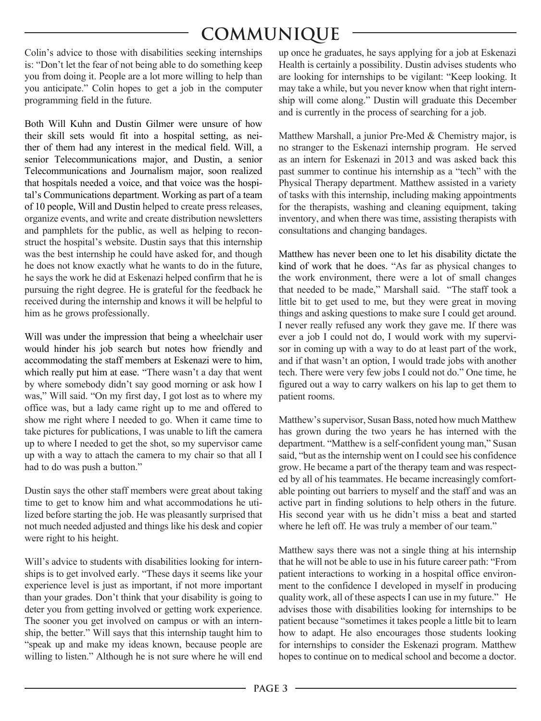#### **COMMUNIQUE**

Colin's advice to those with disabilities seeking internships is: "Don't let the fear of not being able to do something keep you from doing it. People are a lot more willing to help than you anticipate." Colin hopes to get a job in the computer programming field in the future.

Both Will Kuhn and Dustin Gilmer were unsure of how their skill sets would fit into a hospital setting, as neither of them had any interest in the medical field. Will, a senior Telecommunications major, and Dustin, a senior Telecommunications and Journalism major, soon realized that hospitals needed a voice, and that voice was the hospital's Communications department. Working as part of a team of 10 people, Will and Dustin helped to create press releases, organize events, and write and create distribution newsletters and pamphlets for the public, as well as helping to reconstruct the hospital's website. Dustin says that this internship was the best internship he could have asked for, and though he does not know exactly what he wants to do in the future, he says the work he did at Eskenazi helped confirm that he is pursuing the right degree. He is grateful for the feedback he received during the internship and knows it will be helpful to him as he grows professionally.

Will was under the impression that being a wheelchair user would hinder his job search but notes how friendly and accommodating the staff members at Eskenazi were to him, which really put him at ease. "There wasn't a day that went by where somebody didn't say good morning or ask how I was," Will said. "On my first day, I got lost as to where my office was, but a lady came right up to me and offered to show me right where I needed to go. When it came time to take pictures for publications, I was unable to lift the camera up to where I needed to get the shot, so my supervisor came up with a way to attach the camera to my chair so that all I had to do was push a button."

Dustin says the other staff members were great about taking time to get to know him and what accommodations he utilized before starting the job. He was pleasantly surprised that not much needed adjusted and things like his desk and copier were right to his height.

Will's advice to students with disabilities looking for internships is to get involved early. "These days it seems like your experience level is just as important, if not more important than your grades. Don't think that your disability is going to deter you from getting involved or getting work experience. The sooner you get involved on campus or with an internship, the better." Will says that this internship taught him to "speak up and make my ideas known, because people are willing to listen." Although he is not sure where he will end

up once he graduates, he says applying for a job at Eskenazi Health is certainly a possibility. Dustin advises students who are looking for internships to be vigilant: "Keep looking. It may take a while, but you never know when that right internship will come along." Dustin will graduate this December and is currently in the process of searching for a job.

Matthew Marshall, a junior Pre-Med & Chemistry major, is no stranger to the Eskenazi internship program. He served as an intern for Eskenazi in 2013 and was asked back this past summer to continue his internship as a "tech" with the Physical Therapy department. Matthew assisted in a variety of tasks with this internship, including making appointments for the therapists, washing and cleaning equipment, taking inventory, and when there was time, assisting therapists with consultations and changing bandages.

Matthew has never been one to let his disability dictate the kind of work that he does. "As far as physical changes to the work environment, there were a lot of small changes that needed to be made," Marshall said. "The staff took a little bit to get used to me, but they were great in moving things and asking questions to make sure I could get around. I never really refused any work they gave me. If there was ever a job I could not do, I would work with my supervisor in coming up with a way to do at least part of the work, and if that wasn't an option, I would trade jobs with another tech. There were very few jobs I could not do." One time, he figured out a way to carry walkers on his lap to get them to patient rooms.

Matthew's supervisor, Susan Bass, noted how much Matthew has grown during the two years he has interned with the department. "Matthew is a self-confident young man," Susan said, "but as the internship went on I could see his confidence grow. He became a part of the therapy team and was respected by all of his teammates. He became increasingly comfortable pointing out barriers to myself and the staff and was an active part in finding solutions to help others in the future. His second year with us he didn't miss a beat and started where he left off. He was truly a member of our team."

Matthew says there was not a single thing at his internship that he will not be able to use in his future career path: "From patient interactions to working in a hospital office environment to the confidence I developed in myself in producing quality work, all of these aspects I can use in my future." He advises those with disabilities looking for internships to be patient because "sometimes it takes people a little bit to learn how to adapt. He also encourages those students looking for internships to consider the Eskenazi program. Matthew hopes to continue on to medical school and become a doctor.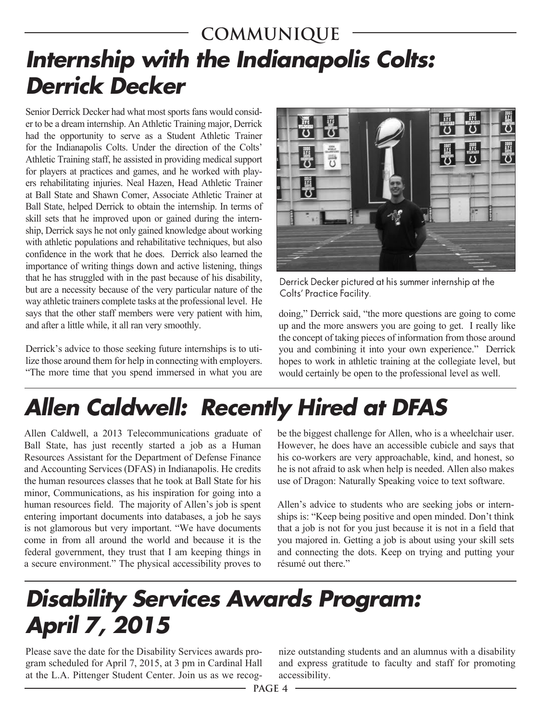### **COMMUNIQUE** *Internship with the Indianapolis Colts: Derrick Decker*

Senior Derrick Decker had what most sports fans would consider to be a dream internship. An Athletic Training major, Derrick had the opportunity to serve as a Student Athletic Trainer for the Indianapolis Colts. Under the direction of the Colts' Athletic Training staff, he assisted in providing medical support for players at practices and games, and he worked with players rehabilitating injuries. Neal Hazen, Head Athletic Trainer at Ball State and Shawn Comer, Associate Athletic Trainer at Ball State, helped Derrick to obtain the internship. In terms of skill sets that he improved upon or gained during the internship, Derrick says he not only gained knowledge about working with athletic populations and rehabilitative techniques, but also confidence in the work that he does. Derrick also learned the importance of writing things down and active listening, things that he has struggled with in the past because of his disability, but are a necessity because of the very particular nature of the way athletic trainers complete tasks at the professional level. He says that the other staff members were very patient with him, and after a little while, it all ran very smoothly.

Derrick's advice to those seeking future internships is to utilize those around them for help in connecting with employers. "The more time that you spend immersed in what you are



Derrick Decker pictured at his summer internship at the Colts' Practice Facility.

doing," Derrick said, "the more questions are going to come up and the more answers you are going to get. I really like the concept of taking pieces of information from those around you and combining it into your own experience." Derrick hopes to work in athletic training at the collegiate level, but would certainly be open to the professional level as well.

# *Allen Caldwell: Recently Hired at DFAS*

Allen Caldwell, a 2013 Telecommunications graduate of Ball State, has just recently started a job as a Human Resources Assistant for the Department of Defense Finance and Accounting Services (DFAS) in Indianapolis. He credits the human resources classes that he took at Ball State for his minor, Communications, as his inspiration for going into a human resources field. The majority of Allen's job is spent entering important documents into databases, a job he says is not glamorous but very important. "We have documents come in from all around the world and because it is the federal government, they trust that I am keeping things in a secure environment." The physical accessibility proves to be the biggest challenge for Allen, who is a wheelchair user. However, he does have an accessible cubicle and says that his co-workers are very approachable, kind, and honest, so he is not afraid to ask when help is needed. Allen also makes use of Dragon: Naturally Speaking voice to text software.

Allen's advice to students who are seeking jobs or internships is: "Keep being positive and open minded. Don't think that a job is not for you just because it is not in a field that you majored in. Getting a job is about using your skill sets and connecting the dots. Keep on trying and putting your résumé out there."

# *Disability Services Awards Program: April 7, 2015*

Please save the date for the Disability Services awards program scheduled for April 7, 2015, at 3 pm in Cardinal Hall at the L.A. Pittenger Student Center. Join us as we recog-

nize outstanding students and an alumnus with a disability and express gratitude to faculty and staff for promoting accessibility.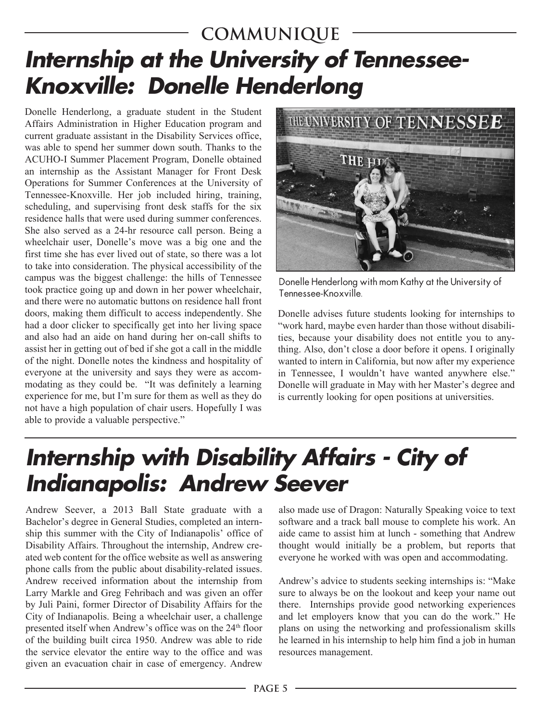### **COMMUNIQUE** *Internship at the University of Tennessee-Knoxville: Donelle Henderlong*

Donelle Henderlong, a graduate student in the Student Affairs Administration in Higher Education program and current graduate assistant in the Disability Services office, was able to spend her summer down south. Thanks to the ACUHO-I Summer Placement Program, Donelle obtained an internship as the Assistant Manager for Front Desk Operations for Summer Conferences at the University of Tennessee-Knoxville. Her job included hiring, training, scheduling, and supervising front desk staffs for the six residence halls that were used during summer conferences. She also served as a 24-hr resource call person. Being a wheelchair user, Donelle's move was a big one and the first time she has ever lived out of state, so there was a lot to take into consideration. The physical accessibility of the campus was the biggest challenge: the hills of Tennessee took practice going up and down in her power wheelchair, and there were no automatic buttons on residence hall front doors, making them difficult to access independently. She had a door clicker to specifically get into her living space and also had an aide on hand during her on-call shifts to assist her in getting out of bed if she got a call in the middle of the night. Donelle notes the kindness and hospitality of everyone at the university and says they were as accommodating as they could be. "It was definitely a learning experience for me, but I'm sure for them as well as they do not have a high population of chair users. Hopefully I was able to provide a valuable perspective."



Donelle Henderlong with mom Kathy at the University of Tennessee-Knoxville.

Donelle advises future students looking for internships to "work hard, maybe even harder than those without disabilities, because your disability does not entitle you to anything. Also, don't close a door before it opens. I originally wanted to intern in California, but now after my experience in Tennessee, I wouldn't have wanted anywhere else." Donelle will graduate in May with her Master's degree and is currently looking for open positions at universities.

## *Internship with Disability Affairs - City of Indianapolis: Andrew Seever*

Andrew Seever, a 2013 Ball State graduate with a Bachelor's degree in General Studies, completed an internship this summer with the City of Indianapolis' office of Disability Affairs. Throughout the internship, Andrew created web content for the office website as well as answering phone calls from the public about disability-related issues. Andrew received information about the internship from Larry Markle and Greg Fehribach and was given an offer by Juli Paini, former Director of Disability Affairs for the City of Indianapolis. Being a wheelchair user, a challenge presented itself when Andrew's office was on the 24th floor of the building built circa 1950. Andrew was able to ride the service elevator the entire way to the office and was given an evacuation chair in case of emergency. Andrew

also made use of Dragon: Naturally Speaking voice to text software and a track ball mouse to complete his work. An aide came to assist him at lunch - something that Andrew thought would initially be a problem, but reports that everyone he worked with was open and accommodating.

Andrew's advice to students seeking internships is: "Make sure to always be on the lookout and keep your name out there. Internships provide good networking experiences and let employers know that you can do the work." He plans on using the networking and professionalism skills he learned in his internship to help him find a job in human resources management.